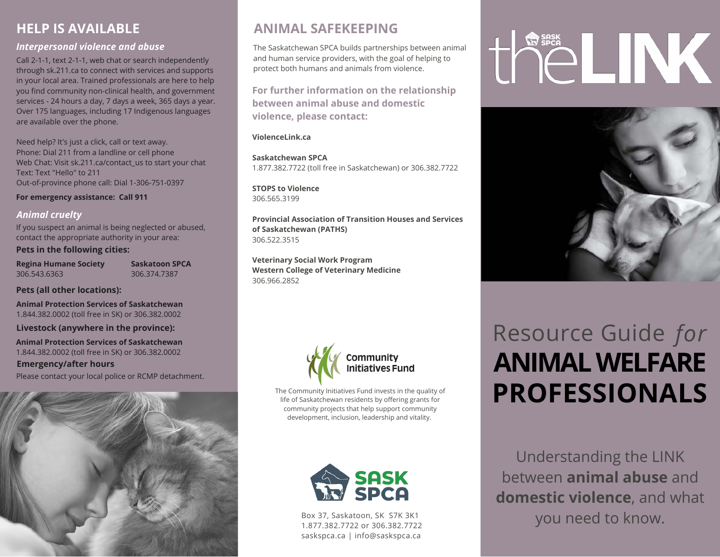### **HELP IS AVAILABLE**

### *Interpersonal violence and abuse*

Call 2-1-1, text 2-1-1, web chat or search independently through sk.211.ca to connect with services and supports in your local area. Trained professionals are here to help you find community non-clinical health, and government services - 24 hours a day, 7 days a week, 365 days a year. Over 175 languages, including 17 Indigenous languages are available over the phone.

Need help? It's just a click, call or text away. Phone: Dial 211 from a landline or cell phone Web Chat: Visit sk.211.ca/contact\_us to start your chat Text: Text "Hello" to 211 Out-of-province phone call: Dial 1-306-751-0397

**For emergency assistance: Call 911**

### *Animal cruelty*

If you suspect an animal is being neglected or abused, contact the appropriate authority in your area:

### **Pets in the following cities:**

**Regina Humane Society** 306.543.6363

**Saskatoon SPCA** 306.374.7387

### **Pets (all other locations):**

**Animal Protection Services of Saskatchewan** 1.844.382.0002 (toll free in SK) or 306.382.0002

**Livestock (anywhere in the province):**

**Animal Protection Services of Saskatchewan** 1.844.382.0002 (toll free in SK) or 306.382.0002

**Emergency/after hours** Please contact your local police or RCMP detachment.



### **ANIMAL SAFEKEEPING**

The Saskatchewan SPCA builds partnerships between animal and human service providers, with the goal of helping to protect both humans and animals from violence.

**For further information on the relationship between animal abuse and domestic violence, please contact:**

### **ViolenceLink.ca**

**Saskatchewan SPCA** 1.877.382.7722 (toll free in Saskatchewan) or 306.382.7722

**STOPS to Violence** 306.565.3199

**Provincial Association of Transition Houses and Services of Saskatchewan (PATHS)** 306.522.3515

**Veterinary Social Work Program Western College of Veterinary Medicine** 306.966.2852



The Community Initiatives Fund invests in the quality of life of Saskatchewan residents by offering grants for community projects that help support community development, inclusion, leadership and vitality.



Box 37, Saskatoon, SK S7K 3K1 1.877.382.7722 or 306.382.7722 saskspca.ca | info@saskspca.ca

# CLINK



## Resource Guide *for* **ANIMAL WELFARE PROFESSIONALS**

Understanding the LINK between **animal abuse** and **domestic violence**, and what you need to know.